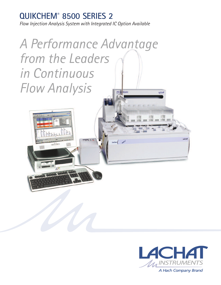# **QUIKCHEM® 8500 SERIES 2**

*Flow Injection Analysis System with Integrated IC Option Available*

*A Performance Advantage from the Leaders in Continuous Flow Analysis*xyz Au LACHAT



A Hach Company Brand

LACHA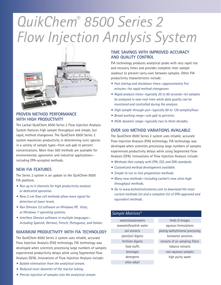# *QuikChem® 8500 Series 2 Flow Injection Analysis System*



#### **PROVEN METHOD PERFORMANCE WITH HIGH PRODUCTIVITY**

The Lachat QuikChem 8500 Series 2 Flow Injection Analysis System features high sample throughput and simple, but rapid, method changeover. The QuikChem 8500 Series 2 system maximizes productivity in determining ionic species in a variety of sample types—from sub-ppb to percent concentrations. More than 500 methods are available for environmental, agronomic and industrial applications including EPA-accepted methods.

#### **NEW FIA FEATURES**

The Series 2 system is an update to the QuikChem 8500 FIA platform.

- *• Run up to 5 channels for high productivity analysis or dedicated operation.*
- *• New 2-cm flow cell methods allow more signal for detection at lower levels.*
- *• Run Omnion 3.0 software on Windows XP, Vista, or Windows 7 operating systems.*
- *• Interface Omnion software in multiple languages including Spanish, German, French, Portuguese, and Italian.*

#### **MAXIMUM PRODUCTIVITY WITH FIA TECHNOLOGY**

The QuikChem 8500 Series 2 system uses reliable, accurate Flow Injection Analysis (FIA) technology. FIA technology was developed when scientists processing large numbers of samples experienced productivity delays while using Segmented Flow Analysis (SFA). Innovations of Flow Injection Analysis include:

- *• Bubble elimination from the analytical stream.*
- *• Reduced inner diameter of the reactor tubing.*
- *• Precise injection of samples into the analytical stream.*

#### **TIME SAVINGS WITH IMPROVED ACCURACY AND QUALITY CONTROL**

FIA technology produces analytical peaks with very rapid rise and recovery times and provides complete inter-sample washout to prevent carry-over between samples. Other FIA productivity characteristics include:

- *• Fast startup and shutdown times—approximately five minutes—for rapid method changeover.*
- *• Rapid analysis times—typically 20 to 60 seconds—let samples be analyzed in near real-time while data quality can be monitored and controlled during the analysis.*
- *• High sample through-put—typically 60 to 120 samples/hour.*
- *• Broad working range—sub-ppb to percents.*
- *• Wide dynamic range—typically two to three decades.*

#### **OVER 500 METHOD VARIATIONS AVAILABLE**

The QuikChem 8500 Series 2 system uses reliable, accurate Flow Injection Analysis (FIA) technology. FIA technology was developed when scientists processing large numbers of samples experienced productivity delays while using Segmented Flow Analysis (SFA). Innovations of Flow Injection Analysis include:

- *• Methods that comply with EPA, ISO, and DIN standards.*
- *• Customized method development available.*
- *• Simple to run in-line preparation methods.*
- *• Many new methods—including Lachat's new ultra-high throughput methods.*
- *• Go to www.lachatinstruments.com to download the most current methods list and a complete list of EPA-approved and equivalent methods.*

#### *Sample Matrices\**

waters/wastewaters seawater/brackish water soil extracts plant/soil digests fertilizer digests food stuffs beverages detergents chlor-alkali

feeds & forages aqueous formulations plating baths/mineral processing bioreactor solutions extracts of air sampling filters tobacco extracts non-aqueous samples high purity water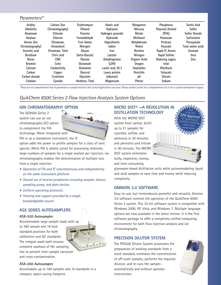## *Parameters\**

| Acidity<br>Alkalinity | <b>Cations (Ion</b><br>Chromatography) | Erythromycin<br>Ethanol | Humic acid<br>Hydrazine | Manganese<br><b>Mercury</b> | <b>Phosphorus</b><br><b>Polyvinyl Alcohol</b> | Sorbic Acid<br>Sulfur |
|-----------------------|----------------------------------------|-------------------------|-------------------------|-----------------------------|-----------------------------------------------|-----------------------|
| Aluminum              | Chlorate                               | <b>Fluorine</b>         | Hydrogen peroxide       | <b>Metals</b>               | (PVA)                                         | <b>Sulfur Dioxide</b> |
| Amylase               | <b>Chlorine</b>                        | Formaldehyde            | <b>Hydroxide</b>        | Methanol                    | Potassium                                     | <b>Surfactants</b>    |
| Anions (Ion           | Chromium.                              | <b>Free Amino</b>       | Hypochlorite            | Molvbdenum                  | Protease                                      | Thiocyanate           |
| Chromatography)       | <b>Hexavalent</b>                      | Nitrogen                | lodine                  | <b>Nickel</b>               | Pyruvate                                      | Total amino acids     |
| Ascorbic acid         | Chromium, Total                        | Glucan                  | Iron                    | <b>Nicotine</b>             | <b>Rapid IC Anions</b>                        | Uranium               |
| <b>Beryllium</b>      | Citric acid                            | (beta-Glucan)           | Lactate                 | Nitrogen                    | <b>Rapid Sulfate</b>                          | <b>Urea</b>           |
| <b>Boron</b>          | <b>CMC</b>                             | Glucose                 | dehydrogenase           | <b>Organic Acids</b>        | Reducing sugars,                              | Zinc                  |
| <b>Bromine</b>        | Color                                  | Glutamate               | (LDH)                   | Oxygen                      | total                                         |                       |
| Calcium               | Conductivity                           | Glutamine               | Lactic acid, D(-)       | <b>Oxyhalides</b>           | Riboflavin                                    |                       |
| Carbon                | Copper                                 | Glycerol                | Lowry protein           | Penicillin                  | <b>Sebacate</b>                               |                       |
| Carbon dioxide        | Creatinine                             | Glycolate               | (albumin)               | рH                          | <b>Silicate</b>                               |                       |
| Catalase              | Cyanide                                | Hardness, Total         | Magnesium               | Phenol                      | Sodium                                        |                       |

\*These are not comprehensive lists of parameters or sample matrices that Lachat Applications can serve. Please contact Lachat for a comprehensive list or for a custom development request.

# *QuikChem 8500 Series 2 Flow Injection Analysis System Options*

#### **ION CHROMATOGRAPHY OPTION**

The QC8500 Series 2 system can use an ion chromatography (IC) option to compliment the FIA technology. When integrated with



FIA or as a standalone instrument, the IC option adds the power to profile samples for a class of ionic species. While FIA is ideally suited for processing relatively large numbers of samples for a single analyte per injection, ion chromatography enables the determination of multiple ions

- *• Operation of FIA and IC simultaneously and independently on the same instrument platform.*
- *• Shared use of several peripherals including sampler, dilutor, sampling pump, and data station.*
- *• Uniform operating protocols.*

from a single injection.

*• Training and support provided by a single, knowledgeable source.*

## **ASX SERIES AUTOSAMPLERS**

#### **ASX-520 Autosampler**

Accommodate large sample loads with up to 360 sample and 16 bulk standard positions for both calibration and QC standards. The integral wash bath ensures complete washout of the sampling line to prevent inter-sample carryover and cross-contamination.



#### **ASX-260 Autosampler**

Accomodate up to 180 samples and 10 standards in a compact, space-saving footprint.

## **MICRO DIST® —A REVOLUTION IN DISTILLATION TECHNOLOGY**

With the MICRO DIST system from Lachat, distill up to 21 samples for cyanides, sulfide, and ammonia in 30 minutes; and phenolics and tritium in 90 minutes. The MICRO DIST system eliminates bulky, expensive, clumsy, and time-consuming



glassware-based distillation units while accommodating liquid and solid samples to save time and money while reducing complexity.

#### **OMNION 3.0 SOFTWARE**

Easy-to-use, but tremendously powerful and versatile, Omnion 3.0 software controls the operation of the QuikChem 8500 Series 2 system. This 32-bit software system is compatible with Windows 2000, XP, Vista, and Windows 7. Multiple language options are now available in the latest version. It is the first software package to offer a completely unified computing environment for both flow injection analysis and ion chromatography.

#### **PRECISION DILUTOR SYSTEM**

The PDS200 Dilutor System automates the preparation of working standards from a stock standard, estimates the concentration of off-scale samples, performs the required dilution, and re-runs the sample automatically and without operator intervention.